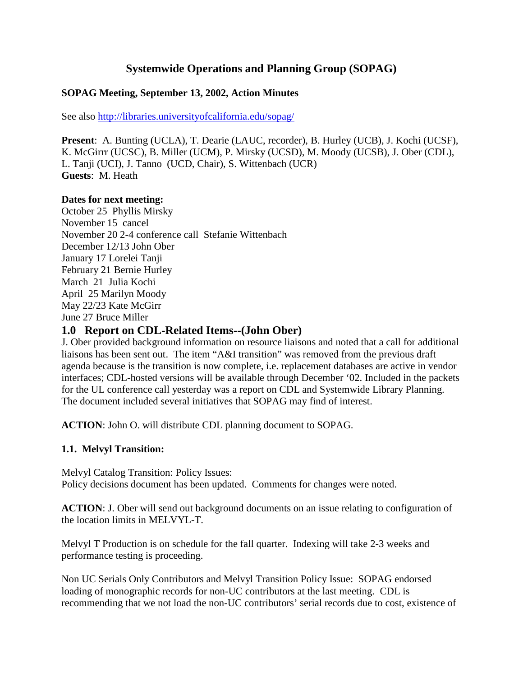# **Systemwide Operations and Planning Group (SOPAG)**

#### **SOPAG Meeting, September 13, 2002, Action Minutes**

See also http://libraries.universityofcalifornia.edu/sopag/

**Present**: A. Bunting (UCLA), T. Dearie (LAUC, recorder), B. Hurley (UCB), J. Kochi (UCSF), K. McGirrr (UCSC), B. Miller (UCM), P. Mirsky (UCSD), M. Moody (UCSB), J. Ober (CDL), L. Tanji (UCI), J. Tanno (UCD, Chair), S. Wittenbach (UCR) **Guests**: M. Heath

#### **Dates for next meeting:**

October 25 Phyllis Mirsky November 15 cancel November 20 2-4 conference call Stefanie Wittenbach December 12/13 John Ober January 17 Lorelei Tanji February 21 Bernie Hurley March 21 Julia Kochi April 25 Marilyn Moody May 22/23 Kate McGirr June 27 Bruce Miller

#### **1.0 Report on CDL-Related Items--(John Ober)**

J. Ober provided background information on resource liaisons and noted that a call for additional liaisons has been sent out. The item "A&I transition" was removed from the previous draft agenda because is the transition is now complete, i.e. replacement databases are active in vendor interfaces; CDL-hosted versions will be available through December '02. Included in the packets for the UL conference call yesterday was a report on CDL and Systemwide Library Planning. The document included several initiatives that SOPAG may find of interest.

**ACTION**: John O. will distribute CDL planning document to SOPAG.

#### **1.1. Melvyl Transition:**

Melvyl Catalog Transition: Policy Issues: Policy decisions document has been updated. Comments for changes were noted.

**ACTION**: J. Ober will send out background documents on an issue relating to configuration of the location limits in MELVYL-T.

Melvyl T Production is on schedule for the fall quarter. Indexing will take 2-3 weeks and performance testing is proceeding.

Non UC Serials Only Contributors and Melvyl Transition Policy Issue: SOPAG endorsed loading of monographic records for non-UC contributors at the last meeting. CDL is recommending that we not load the non-UC contributors' serial records due to cost, existence of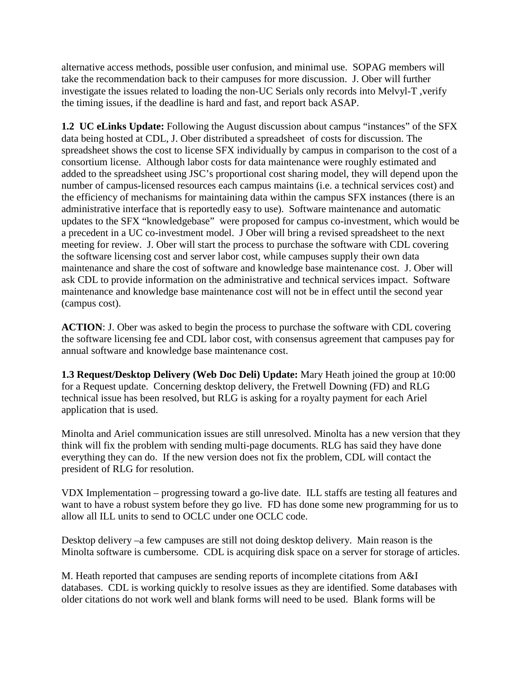alternative access methods, possible user confusion, and minimal use. SOPAG members will take the recommendation back to their campuses for more discussion. J. Ober will further investigate the issues related to loading the non-UC Serials only records into Melvyl-T ,verify the timing issues, if the deadline is hard and fast, and report back ASAP.

**1.2 UC eLinks Update:** Following the August discussion about campus "instances" of the SFX data being hosted at CDL, J. Ober distributed a spreadsheet of costs for discussion. The spreadsheet shows the cost to license SFX individually by campus in comparison to the cost of a consortium license. Although labor costs for data maintenance were roughly estimated and added to the spreadsheet using JSC's proportional cost sharing model, they will depend upon the number of campus-licensed resources each campus maintains (i.e. a technical services cost) and the efficiency of mechanisms for maintaining data within the campus SFX instances (there is an administrative interface that is reportedly easy to use). Software maintenance and automatic updates to the SFX "knowledgebase" were proposed for campus co-investment, which would be a precedent in a UC co-investment model. J Ober will bring a revised spreadsheet to the next meeting for review. J. Ober will start the process to purchase the software with CDL covering the software licensing cost and server labor cost, while campuses supply their own data maintenance and share the cost of software and knowledge base maintenance cost. J. Ober will ask CDL to provide information on the administrative and technical services impact. Software maintenance and knowledge base maintenance cost will not be in effect until the second year (campus cost).

**ACTION**: J. Ober was asked to begin the process to purchase the software with CDL covering the software licensing fee and CDL labor cost, with consensus agreement that campuses pay for annual software and knowledge base maintenance cost.

**1.3 Request/Desktop Delivery (Web Doc Deli) Update:** Mary Heath joined the group at 10:00 for a Request update. Concerning desktop delivery, the Fretwell Downing (FD) and RLG technical issue has been resolved, but RLG is asking for a royalty payment for each Ariel application that is used.

Minolta and Ariel communication issues are still unresolved. Minolta has a new version that they think will fix the problem with sending multi-page documents. RLG has said they have done everything they can do. If the new version does not fix the problem, CDL will contact the president of RLG for resolution.

VDX Implementation – progressing toward a go-live date. ILL staffs are testing all features and want to have a robust system before they go live. FD has done some new programming for us to allow all ILL units to send to OCLC under one OCLC code.

Desktop delivery –a few campuses are still not doing desktop delivery. Main reason is the Minolta software is cumbersome. CDL is acquiring disk space on a server for storage of articles.

M. Heath reported that campuses are sending reports of incomplete citations from A&I databases. CDL is working quickly to resolve issues as they are identified. Some databases with older citations do not work well and blank forms will need to be used. Blank forms will be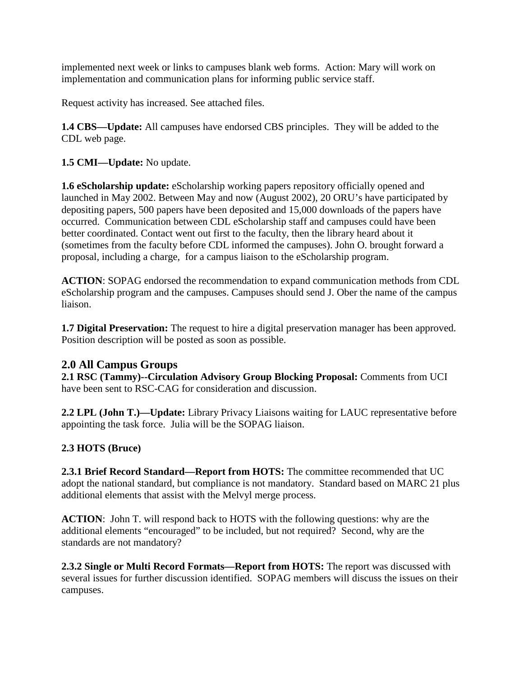implemented next week or links to campuses blank web forms. Action: Mary will work on implementation and communication plans for informing public service staff.

Request activity has increased. See attached files.

**1.4 CBS—Update:** All campuses have endorsed CBS principles. They will be added to the CDL web page.

**1.5 CMI—Update:** No update.

**1.6 eScholarship update:** eScholarship working papers repository officially opened and launched in May 2002. Between May and now (August 2002), 20 ORU's have participated by depositing papers, 500 papers have been deposited and 15,000 downloads of the papers have occurred. Communication between CDL eScholarship staff and campuses could have been better coordinated. Contact went out first to the faculty, then the library heard about it (sometimes from the faculty before CDL informed the campuses). John O. brought forward a proposal, including a charge, for a campus liaison to the eScholarship program.

**ACTION**: SOPAG endorsed the recommendation to expand communication methods from CDL eScholarship program and the campuses. Campuses should send J. Ober the name of the campus liaison.

**1.7 Digital Preservation:** The request to hire a digital preservation manager has been approved. Position description will be posted as soon as possible.

## **2.0 All Campus Groups**

**2.1 RSC (Tammy)--Circulation Advisory Group Blocking Proposal:** Comments from UCI have been sent to RSC-CAG for consideration and discussion.

**2.2 LPL (John T.)—Update:** Library Privacy Liaisons waiting for LAUC representative before appointing the task force. Julia will be the SOPAG liaison.

## **2.3 HOTS (Bruce)**

**2.3.1 Brief Record Standard—Report from HOTS:** The committee recommended that UC adopt the national standard, but compliance is not mandatory. Standard based on MARC 21 plus additional elements that assist with the Melvyl merge process.

**ACTION**: John T. will respond back to HOTS with the following questions: why are the additional elements "encouraged" to be included, but not required? Second, why are the standards are not mandatory?

**2.3.2 Single or Multi Record Formats—Report from HOTS:** The report was discussed with several issues for further discussion identified. SOPAG members will discuss the issues on their campuses.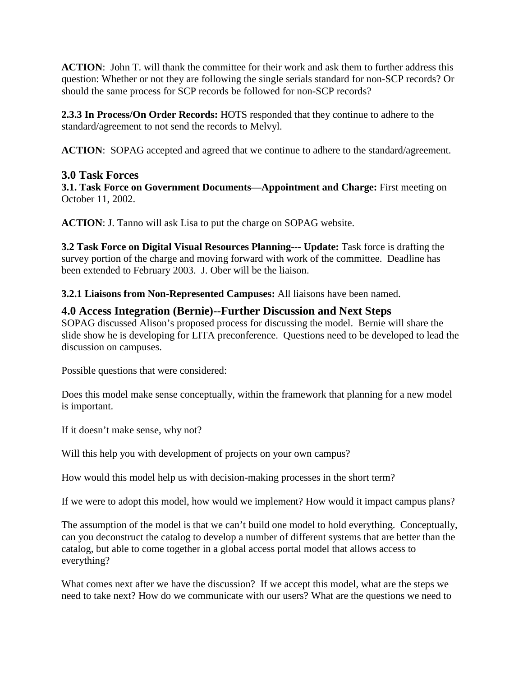**ACTION**: John T. will thank the committee for their work and ask them to further address this question: Whether or not they are following the single serials standard for non-SCP records? Or should the same process for SCP records be followed for non-SCP records?

**2.3.3 In Process/On Order Records:** HOTS responded that they continue to adhere to the standard/agreement to not send the records to Melvyl.

**ACTION**: SOPAG accepted and agreed that we continue to adhere to the standard/agreement.

## **3.0 Task Forces**

**3.1. Task Force on Government Documents—Appointment and Charge:** First meeting on October 11, 2002.

**ACTION**: J. Tanno will ask Lisa to put the charge on SOPAG website.

**3.2 Task Force on Digital Visual Resources Planning--- Update:** Task force is drafting the survey portion of the charge and moving forward with work of the committee. Deadline has been extended to February 2003. J. Ober will be the liaison.

**3.2.1 Liaisons from Non-Represented Campuses:** All liaisons have been named.

#### **4.0 Access Integration (Bernie)--Further Discussion and Next Steps**

SOPAG discussed Alison's proposed process for discussing the model. Bernie will share the slide show he is developing for LITA preconference. Questions need to be developed to lead the discussion on campuses.

Possible questions that were considered:

Does this model make sense conceptually, within the framework that planning for a new model is important.

If it doesn't make sense, why not?

Will this help you with development of projects on your own campus?

How would this model help us with decision-making processes in the short term?

If we were to adopt this model, how would we implement? How would it impact campus plans?

The assumption of the model is that we can't build one model to hold everything. Conceptually, can you deconstruct the catalog to develop a number of different systems that are better than the catalog, but able to come together in a global access portal model that allows access to everything?

What comes next after we have the discussion? If we accept this model, what are the steps we need to take next? How do we communicate with our users? What are the questions we need to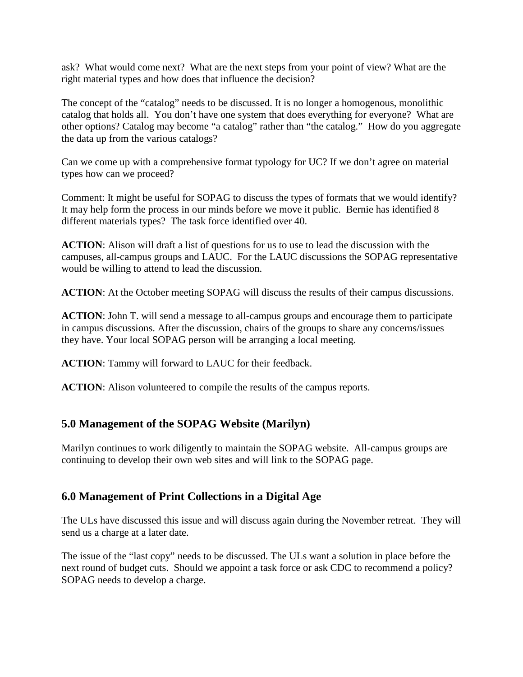ask? What would come next? What are the next steps from your point of view? What are the right material types and how does that influence the decision?

The concept of the "catalog" needs to be discussed. It is no longer a homogenous, monolithic catalog that holds all. You don't have one system that does everything for everyone? What are other options? Catalog may become "a catalog" rather than "the catalog." How do you aggregate the data up from the various catalogs?

Can we come up with a comprehensive format typology for UC? If we don't agree on material types how can we proceed?

Comment: It might be useful for SOPAG to discuss the types of formats that we would identify? It may help form the process in our minds before we move it public. Bernie has identified 8 different materials types? The task force identified over 40.

**ACTION**: Alison will draft a list of questions for us to use to lead the discussion with the campuses, all-campus groups and LAUC. For the LAUC discussions the SOPAG representative would be willing to attend to lead the discussion.

**ACTION**: At the October meeting SOPAG will discuss the results of their campus discussions.

**ACTION**: John T. will send a message to all-campus groups and encourage them to participate in campus discussions. After the discussion, chairs of the groups to share any concerns/issues they have. Your local SOPAG person will be arranging a local meeting.

**ACTION**: Tammy will forward to LAUC for their feedback.

**ACTION:** Alison volunteered to compile the results of the campus reports.

## **5.0 Management of the SOPAG Website (Marilyn)**

Marilyn continues to work diligently to maintain the SOPAG website. All-campus groups are continuing to develop their own web sites and will link to the SOPAG page.

## **6.0 Management of Print Collections in a Digital Age**

The ULs have discussed this issue and will discuss again during the November retreat. They will send us a charge at a later date.

The issue of the "last copy" needs to be discussed. The ULs want a solution in place before the next round of budget cuts. Should we appoint a task force or ask CDC to recommend a policy? SOPAG needs to develop a charge.